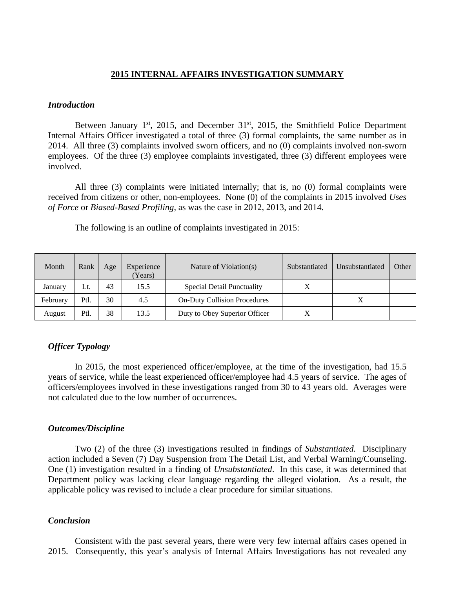### **2015 INTERNAL AFFAIRS INVESTIGATION SUMMARY**

#### *Introduction*

Between January  $1^{st}$ , 2015, and December  $31^{st}$ , 2015, the Smithfield Police Department Internal Affairs Officer investigated a total of three (3) formal complaints, the same number as in 2014. All three (3) complaints involved sworn officers, and no (0) complaints involved non-sworn employees. Of the three (3) employee complaints investigated, three (3) different employees were involved.

All three (3) complaints were initiated internally; that is, no (0) formal complaints were received from citizens or other, non-employees. None (0) of the complaints in 2015 involved *Uses of Force* or *Biased-Based Profiling*, as was the case in 2012, 2013, and 2014.

| Month    | Rank | Age | Experience<br>Years) | Nature of Violation(s)              | Substantiated | Unsubstantiated | Other |
|----------|------|-----|----------------------|-------------------------------------|---------------|-----------------|-------|
| January  | Lt.  | 43  | 15.5                 | Special Detail Punctuality          |               |                 |       |
| February | Ptl. | 30  | 4.5                  | <b>On-Duty Collision Procedures</b> |               |                 |       |
| August   | Ptl. | 38  | 13.5                 | Duty to Obey Superior Officer       |               |                 |       |

The following is an outline of complaints investigated in 2015:

# *Officer Typology*

 In 2015, the most experienced officer/employee, at the time of the investigation, had 15.5 years of service, while the least experienced officer/employee had 4.5 years of service. The ages of officers/employees involved in these investigations ranged from 30 to 43 years old. Averages were not calculated due to the low number of occurrences.

#### *Outcomes/Discipline*

Two (2) of the three (3) investigations resulted in findings of *Substantiated.* Disciplinary action included a Seven (7) Day Suspension from The Detail List, and Verbal Warning/Counseling. One (1) investigation resulted in a finding of *Unsubstantiated*.In this case, it was determined that Department policy was lacking clear language regarding the alleged violation. As a result, the applicable policy was revised to include a clear procedure for similar situations.

# *Conclusion*

Consistent with the past several years, there were very few internal affairs cases opened in 2015. Consequently, this year's analysis of Internal Affairs Investigations has not revealed any